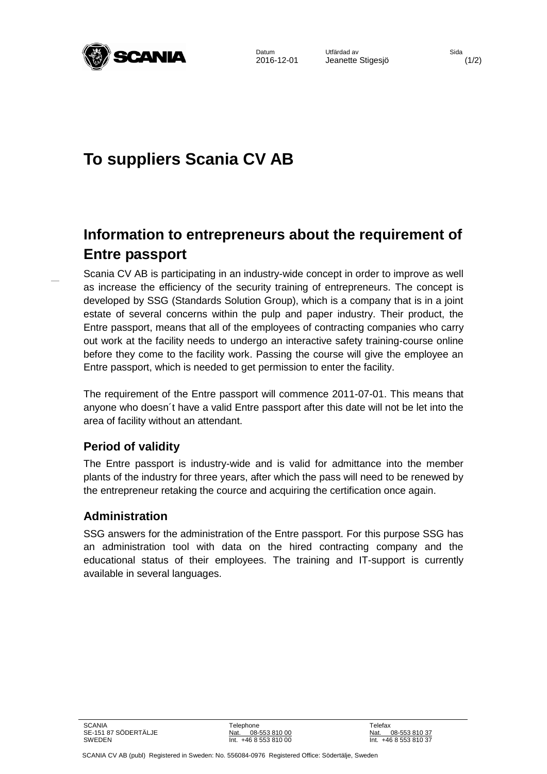

Datum Utfärdad av Sida<br>2016-12-01 Jeanette Stigesiö 2016-12-01 Jeanette Stigesjö (1/2)

# **To suppliers Scania CV AB**

# **Information to entrepreneurs about the requirement of Entre passport**

Scania CV AB is participating in an industry-wide concept in order to improve as well as increase the efficiency of the security training of entrepreneurs. The concept is developed by SSG (Standards Solution Group), which is a company that is in a joint estate of several concerns within the pulp and paper industry. Their product, the Entre passport, means that all of the employees of contracting companies who carry out work at the facility needs to undergo an interactive safety training-course online before they come to the facility work. Passing the course will give the employee an Entre passport, which is needed to get permission to enter the facility.

The requirement of the Entre passport will commence 2011-07-01. This means that anyone who doesn´t have a valid Entre passport after this date will not be let into the area of facility without an attendant.

## **Period of validity**

The Entre passport is industry-wide and is valid for admittance into the member plants of the industry for three years, after which the pass will need to be renewed by the entrepreneur retaking the cource and acquiring the certification once again.

### **Administration**

SSG answers for the administration of the Entre passport. For this purpose SSG has an administration tool with data on the hired contracting company and the educational status of their employees. The training and IT-support is currently available in several languages.